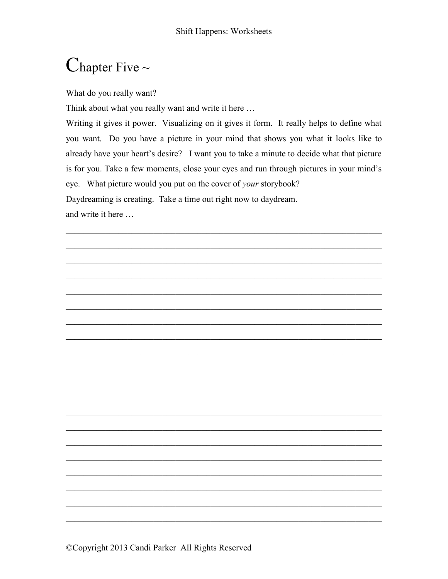# Chapter Five  $\sim$

What do you really want?

Think about what you really want and write it here ...

Writing it gives it power. Visualizing on it gives it form. It really helps to define what you want. Do you have a picture in your mind that shows you what it looks like to already have your heart's desire? I want you to take a minute to decide what that picture is for you. Take a few moments, close your eyes and run through pictures in your mind's eye. What picture would you put on the cover of your storybook? Daydreaming is creating. Take a time out right now to daydream. and write it here ...

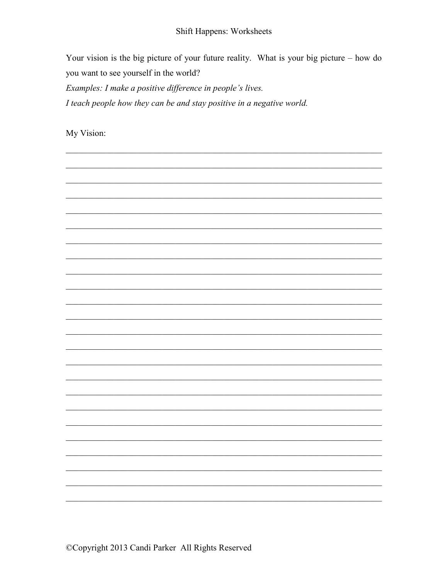Your vision is the big picture of your future reality. What is your big picture - how do you want to see yourself in the world?

Examples: I make a positive difference in people's lives. I teach people how they can be and stay positive in a negative world.

My Vision:

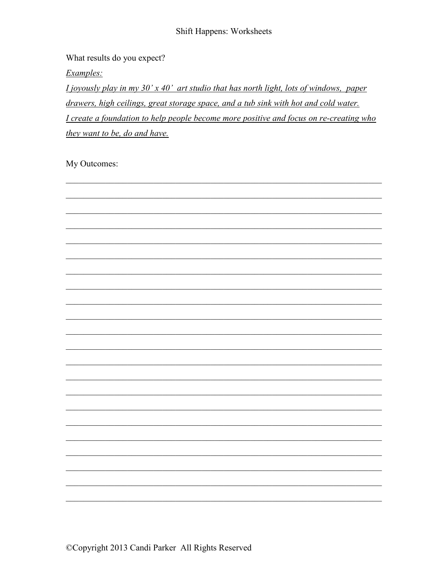What results do you expect?

Examples:

I joyously play in my  $30'$  x  $40'$  art studio that has north light, lots of windows, paper drawers, high ceilings, great storage space, and a tub sink with hot and cold water. I create a foundation to help people become more positive and focus on re-creating who they want to be, do and have.

My Outcomes:

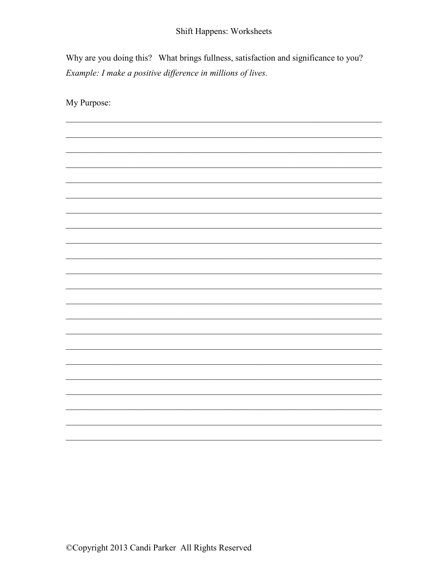Why are you doing this? What brings fullness, satisfaction and significance to you? Example: I make a positive difference in millions of lives.

My Purpose:

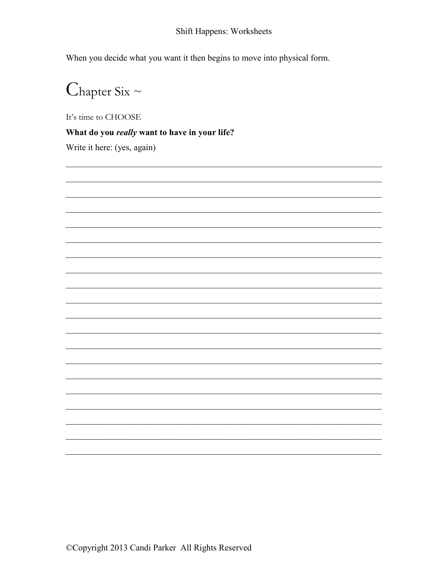When you decide what you want it then begins to move into physical form.

Chapter Six  $\sim$ 

It's time to CHOOSE What do you really want to have in your life? Write it here: (yes, again)

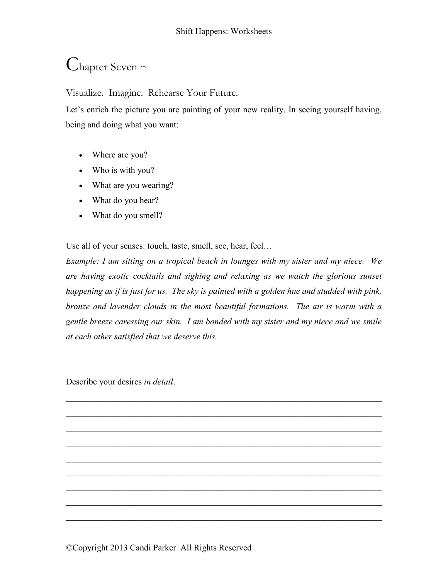## $\mathcal{C}_{\text{hapter Seven}}$  ~

Visualize. Imagine. Rehearse Your Future.

Let's enrich the picture you are painting of your new reality. In seeing yourself having, being and doing what you want:

- Where are you?
- Who is with you?
- What are you wearing?
- What do you hear?
- What do you smell?

Use all of your senses: touch, taste, smell, see, hear, feel…

*Example: I am sitting on a tropical beach in lounges with my sister and my niece. We are having exotic cocktails and sighing and relaxing as we watch the glorious sunset happening as if is just for us. The sky is painted with a golden hue and studded with pink, bronze and lavender clouds in the most beautiful formations. The air is warm with a gentle breeze caressing our skin. I am bonded with my sister and my niece and we smile at each other satisfied that we deserve this.*

 $\_$  , and the set of the set of the set of the set of the set of the set of the set of the set of the set of the set of the set of the set of the set of the set of the set of the set of the set of the set of the set of th

 $\_$  , and the set of the set of the set of the set of the set of the set of the set of the set of the set of the set of the set of the set of the set of the set of the set of the set of the set of the set of the set of th

 $\_$  , and the set of the set of the set of the set of the set of the set of the set of the set of the set of the set of the set of the set of the set of the set of the set of the set of the set of the set of the set of th

 $\_$  , and the set of the set of the set of the set of the set of the set of the set of the set of the set of the set of the set of the set of the set of the set of the set of the set of the set of the set of the set of th

Describe your desires *in detail*.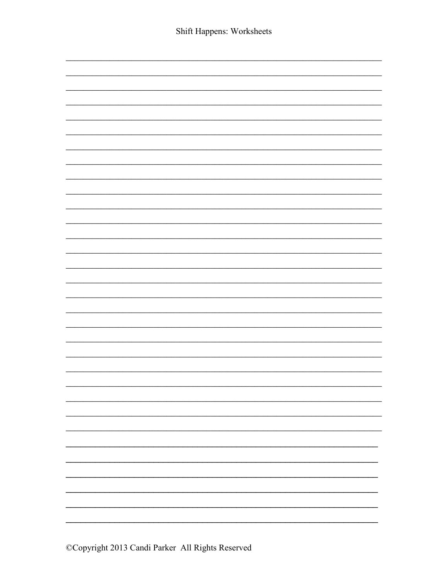| ÷. |
|----|
|    |
|    |
|    |
| -  |
|    |
| —  |
|    |
|    |
|    |
|    |
|    |
|    |
|    |
|    |
|    |
|    |
|    |
|    |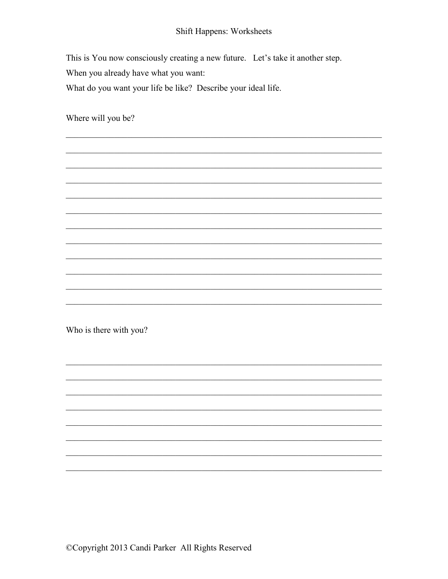#### Shift Happens: Worksheets

This is You now consciously creating a new future. Let's take it another step.

When you already have what you want:

What do you want your life be like? Describe your ideal life.

Where will you be?

Who is there with you?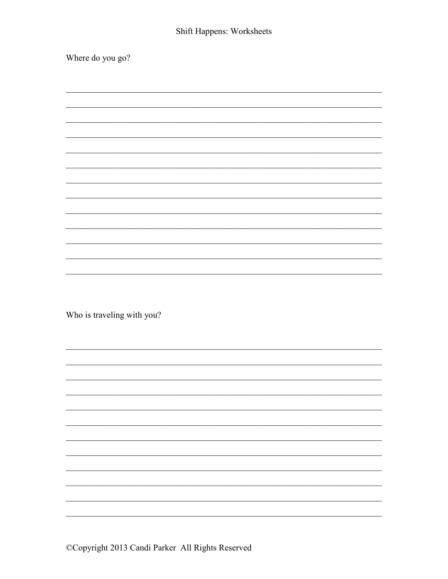| Where do you go?           |  |
|----------------------------|--|
|                            |  |
|                            |  |
|                            |  |
|                            |  |
|                            |  |
|                            |  |
|                            |  |
|                            |  |
|                            |  |
|                            |  |
|                            |  |
| Who is traveling with you? |  |
|                            |  |
|                            |  |
|                            |  |
|                            |  |
|                            |  |
|                            |  |
|                            |  |
|                            |  |
|                            |  |
|                            |  |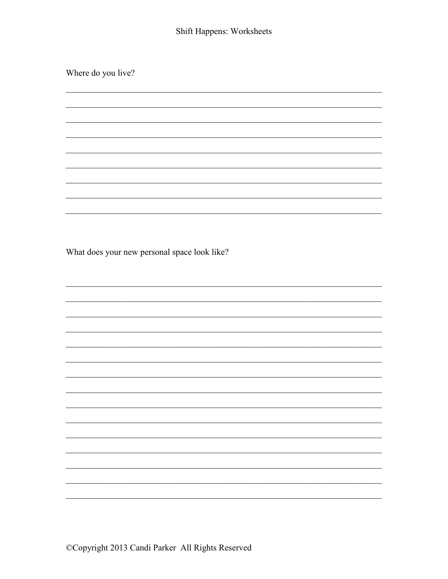Where do you live?

What does your new personal space look like?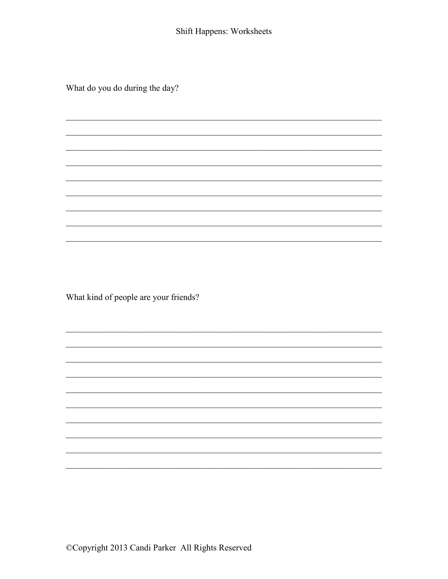What do you do during the day?

What kind of people are your friends?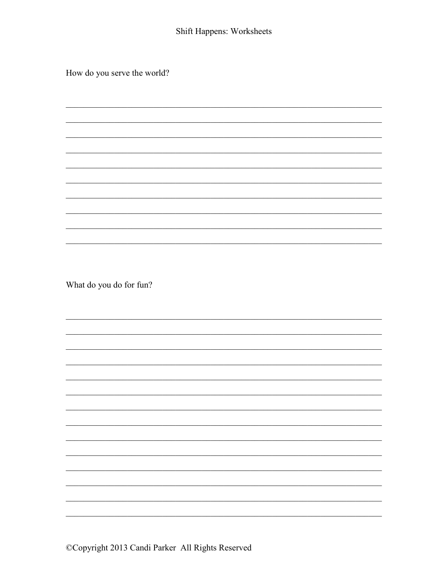How do you serve the world?

What do you do for fun?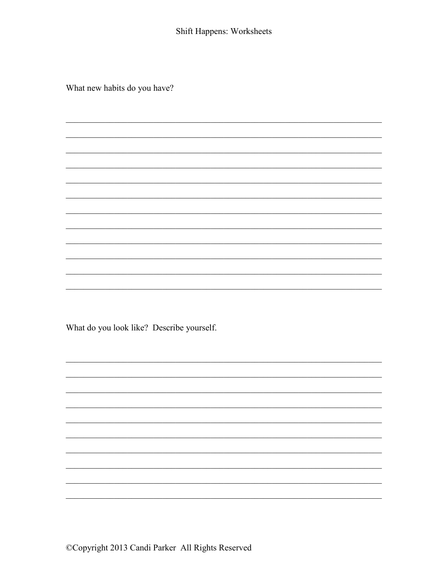What new habits do you have?

What do you look like? Describe yourself.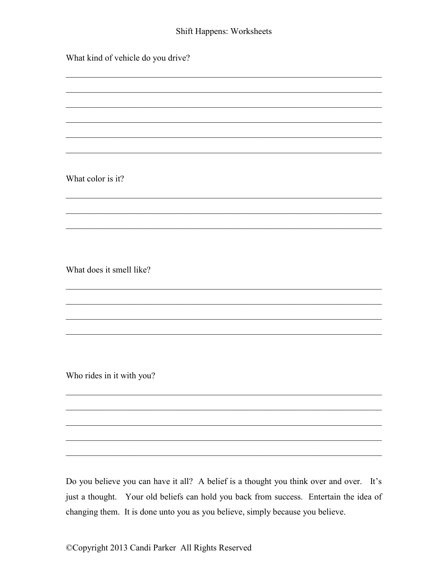What kind of vehicle do you drive? What color is it? What does it smell like? Who rides in it with you?

Do you believe you can have it all? A belief is a thought you think over and over. It's just a thought. Your old beliefs can hold you back from success. Entertain the idea of changing them. It is done unto you as you believe, simply because you believe.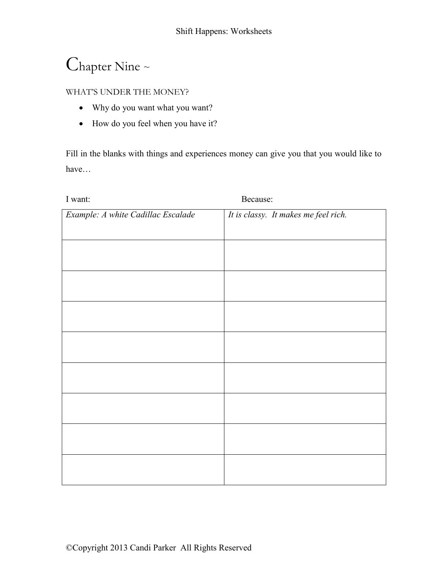## Chapter Nine <sup>~</sup>

#### WHAT'S UNDER THE MONEY?

- Why do you want what you want?
- How do you feel when you have it?

Fill in the blanks with things and experiences money can give you that you would like to have…

| I want:                            | Because:                             |
|------------------------------------|--------------------------------------|
| Example: A white Cadillac Escalade | It is classy. It makes me feel rich. |
|                                    |                                      |
|                                    |                                      |
|                                    |                                      |
|                                    |                                      |
|                                    |                                      |
|                                    |                                      |
|                                    |                                      |
|                                    |                                      |
|                                    |                                      |
|                                    |                                      |
|                                    |                                      |
|                                    |                                      |
|                                    |                                      |
|                                    |                                      |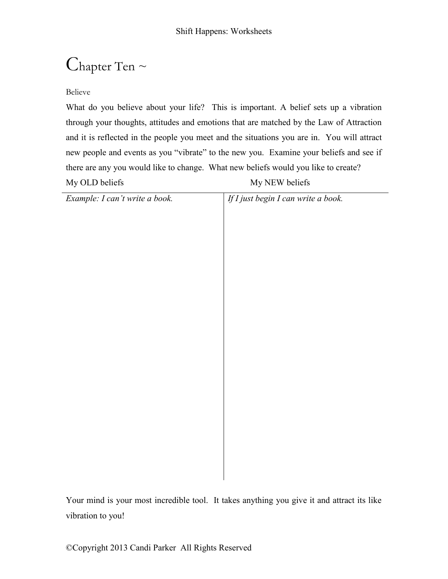# $\mathrm{Chapter~Ten}\sim$

Believe

What do you believe about your life? This is important. A belief sets up a vibration through your thoughts, attitudes and emotions that are matched by the Law of Attraction and it is reflected in the people you meet and the situations you are in. You will attract new people and events as you "vibrate" to the new you. Examine your beliefs and see if there are any you would like to change. What new beliefs would you like to create? My OLD beliefs My NEW beliefs *Example: I can't write a book. If I just begin I can write a book.*

| Example: I can t write a book. | IJ I Just begin I can write a book. |
|--------------------------------|-------------------------------------|
|                                |                                     |
|                                |                                     |
|                                |                                     |
|                                |                                     |
|                                |                                     |
|                                |                                     |
|                                |                                     |
|                                |                                     |
|                                |                                     |
|                                |                                     |
|                                |                                     |
|                                |                                     |
|                                |                                     |
|                                |                                     |
|                                |                                     |
|                                |                                     |
|                                |                                     |

Your mind is your most incredible tool. It takes anything you give it and attract its like vibration to you!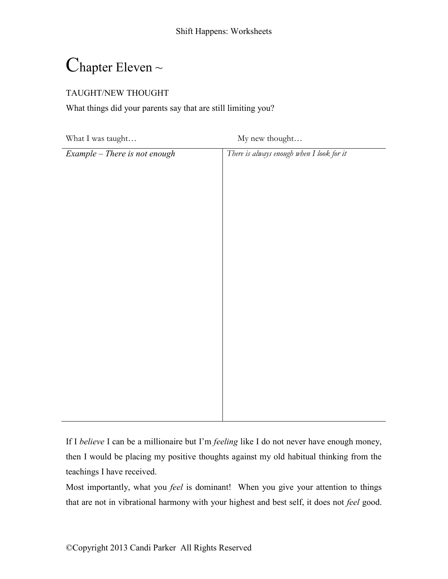# $\mathbf C$ hapter Eleven  $\sim$

#### TAUGHT/NEW THOUGHT

What things did your parents say that are still limiting you?

| What I was taught             | My new thought                            |  |
|-------------------------------|-------------------------------------------|--|
| Example - There is not enough | There is always enough when I look for it |  |
|                               |                                           |  |
|                               |                                           |  |
|                               |                                           |  |
|                               |                                           |  |
|                               |                                           |  |
|                               |                                           |  |
|                               |                                           |  |
|                               |                                           |  |
|                               |                                           |  |
|                               |                                           |  |
|                               |                                           |  |
|                               |                                           |  |
|                               |                                           |  |
|                               |                                           |  |

If I *believe* I can be a millionaire but I"m *feeling* like I do not never have enough money, then I would be placing my positive thoughts against my old habitual thinking from the teachings I have received.

Most importantly, what you *feel* is dominant! When you give your attention to things that are not in vibrational harmony with your highest and best self, it does not *feel* good.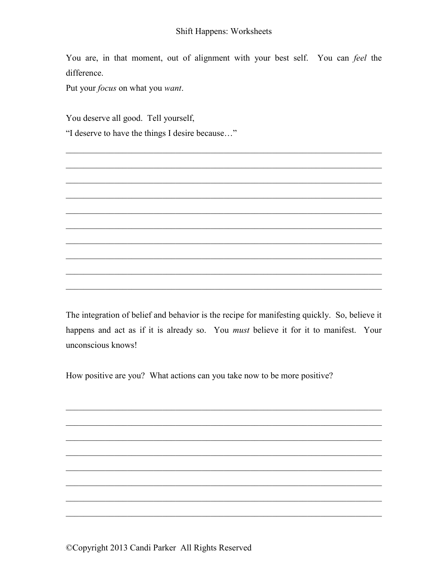You are, in that moment, out of alignment with your best self. You can feel the difference.

Put your *focus* on what you want.

You deserve all good. Tell yourself,

"I deserve to have the things I desire because..."

The integration of belief and behavior is the recipe for manifesting quickly. So, believe it happens and act as if it is already so. You must believe it for it to manifest. Your unconscious knows!

How positive are you? What actions can you take now to be more positive?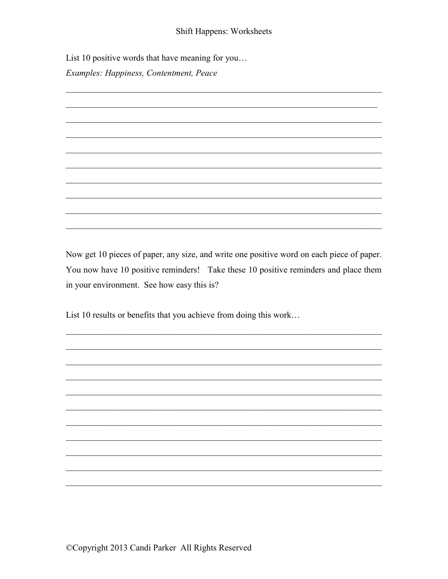List 10 positive words that have meaning for you... Examples: Happiness, Contentment, Peace

Now get 10 pieces of paper, any size, and write one positive word on each piece of paper. You now have 10 positive reminders! Take these 10 positive reminders and place them in your environment. See how easy this is?

List 10 results or benefits that you achieve from doing this work...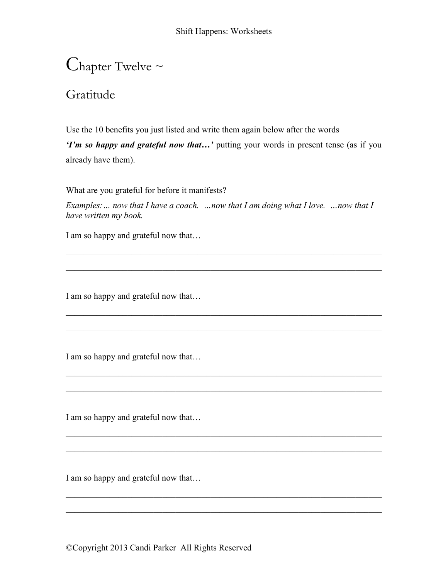## Chapter Twelve  $\sim$

### Gratitude

Use the 10 benefits you just listed and write them again below after the words *'I'm so happy and grateful now that...'* putting your words in present tense (as if you already have them).

What are you grateful for before it manifests?

*Examples:… now that I have a coach. …now that I am doing what I love. …now that I have written my book.*

 $\mathcal{L}_\text{max} = \mathcal{L}_\text{max} = \mathcal{L}_\text{max} = \mathcal{L}_\text{max} = \mathcal{L}_\text{max} = \mathcal{L}_\text{max} = \mathcal{L}_\text{max} = \mathcal{L}_\text{max} = \mathcal{L}_\text{max} = \mathcal{L}_\text{max} = \mathcal{L}_\text{max} = \mathcal{L}_\text{max} = \mathcal{L}_\text{max} = \mathcal{L}_\text{max} = \mathcal{L}_\text{max} = \mathcal{L}_\text{max} = \mathcal{L}_\text{max} = \mathcal{L}_\text{max} = \mathcal{$ 

 $\mathcal{L}_\text{max} = \mathcal{L}_\text{max} = \mathcal{L}_\text{max} = \mathcal{L}_\text{max} = \mathcal{L}_\text{max} = \mathcal{L}_\text{max} = \mathcal{L}_\text{max} = \mathcal{L}_\text{max} = \mathcal{L}_\text{max} = \mathcal{L}_\text{max} = \mathcal{L}_\text{max} = \mathcal{L}_\text{max} = \mathcal{L}_\text{max} = \mathcal{L}_\text{max} = \mathcal{L}_\text{max} = \mathcal{L}_\text{max} = \mathcal{L}_\text{max} = \mathcal{L}_\text{max} = \mathcal{$ 

I am so happy and grateful now that…

I am so happy and grateful now that…

I am so happy and grateful now that…

I am so happy and grateful now that…

I am so happy and grateful now that…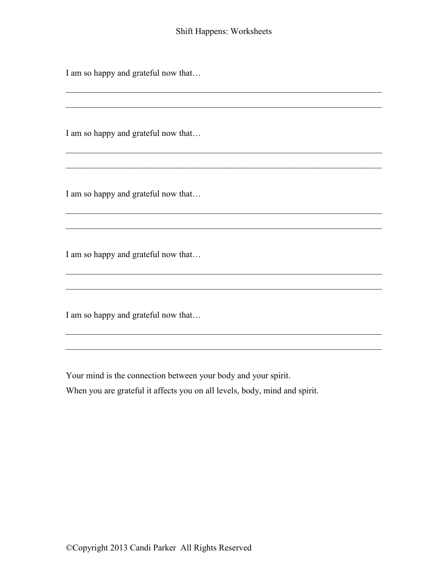<u> 1989 - Johann Stoff, amerikansk politiker (d. 1989)</u>

I am so happy and grateful now that...

I am so happy and grateful now that...

I am so happy and grateful now that...

I am so happy and grateful now that...

I am so happy and grateful now that...

Your mind is the connection between your body and your spirit.

When you are grateful it affects you on all levels, body, mind and spirit.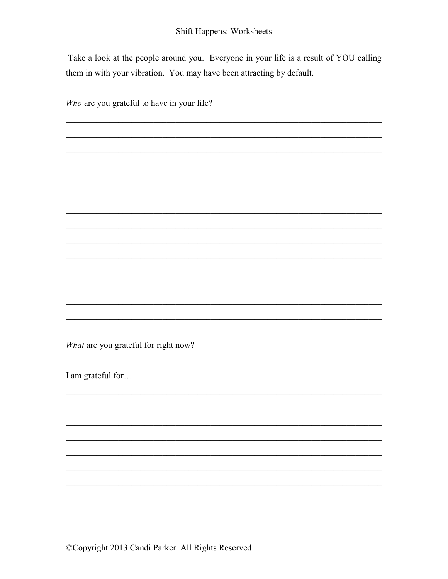Take a look at the people around you. Everyone in your life is a result of YOU calling them in with your vibration. You may have been attracting by default.

Who are you grateful to have in your life?

What are you grateful for right now?

I am grateful for...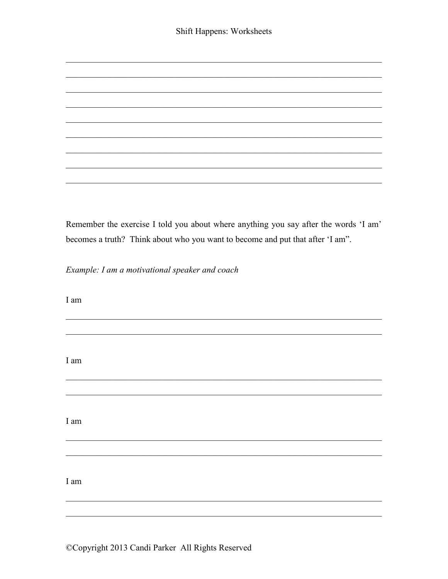Remember the exercise I told you about where anything you say after the words 'I am' becomes a truth? Think about who you want to become and put that after 'I am".

Example: I am a motivational speaker and coach

I am I am I am I am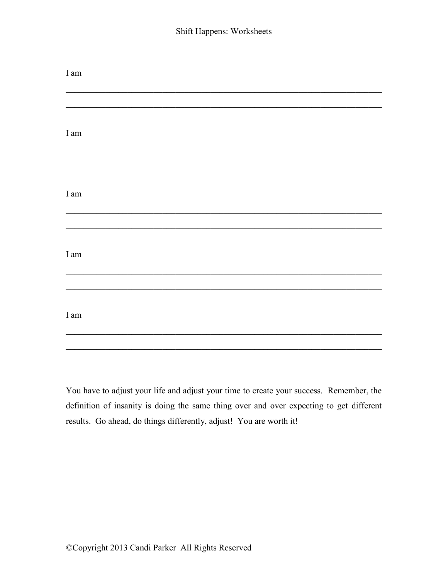| I am       |  |  |  |
|------------|--|--|--|
|            |  |  |  |
| I am       |  |  |  |
|            |  |  |  |
| $\rm I$ am |  |  |  |
|            |  |  |  |
| $\rm I$ am |  |  |  |
|            |  |  |  |
| $\rm I$ am |  |  |  |
|            |  |  |  |

You have to adjust your life and adjust your time to create your success. Remember, the definition of insanity is doing the same thing over and over expecting to get different results. Go ahead, do things differently, adjust! You are worth it!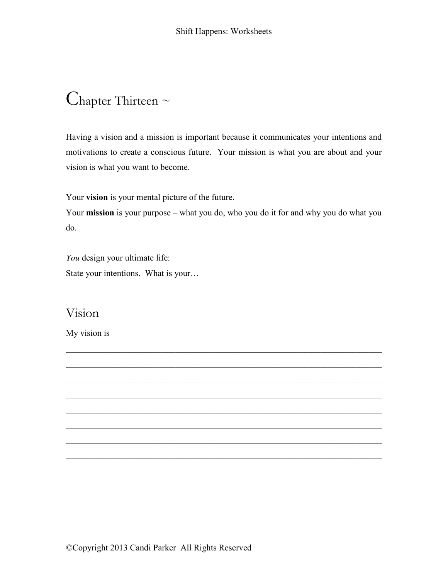## $\mathcal{C}_{\text{hapter}}$  Thirteen  $\sim$

Having a vision and a mission is important because it communicates your intentions and motivations to create a conscious future. Your mission is what you are about and your vision is what you want to become.

Your **vision** is your mental picture of the future.

Your **mission** is your purpose – what you do, who you do it for and why you do what you do.

 $\mathcal{L}_\text{max} = \mathcal{L}_\text{max} = \mathcal{L}_\text{max} = \mathcal{L}_\text{max} = \mathcal{L}_\text{max} = \mathcal{L}_\text{max} = \mathcal{L}_\text{max} = \mathcal{L}_\text{max} = \mathcal{L}_\text{max} = \mathcal{L}_\text{max} = \mathcal{L}_\text{max} = \mathcal{L}_\text{max} = \mathcal{L}_\text{max} = \mathcal{L}_\text{max} = \mathcal{L}_\text{max} = \mathcal{L}_\text{max} = \mathcal{L}_\text{max} = \mathcal{L}_\text{max} = \mathcal{$ 

*You* design your ultimate life: State your intentions. What is your…

### Vision

My vision is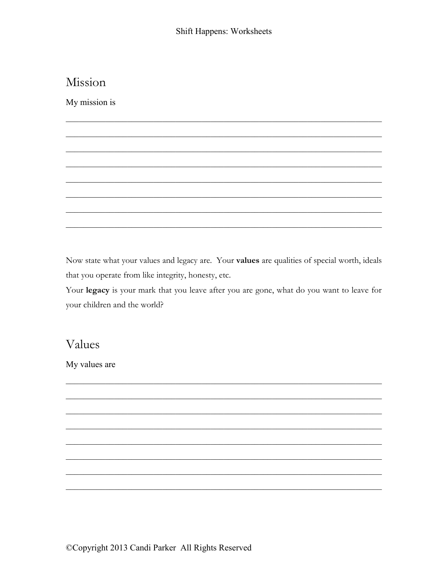### Mission

My mission is

Now state what your values and legacy are. Your values are qualities of special worth, ideals that you operate from like integrity, honesty, etc.

Your legacy is your mark that you leave after you are gone, what do you want to leave for your children and the world?

Values

My values are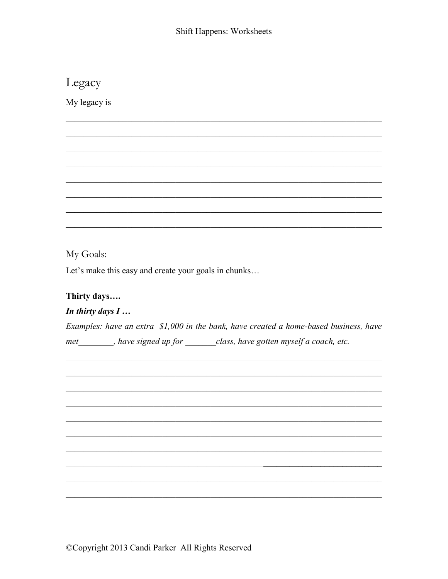## Legacy

My legacy is

My Goals:

Let's make this easy and create your goals in chunks...

#### Thirty days....

#### In thirty days  $I...$

Examples: have an extra \$1,000 in the bank, have created a home-based business, have met, have signed up for class, have gotten myself a coach, etc.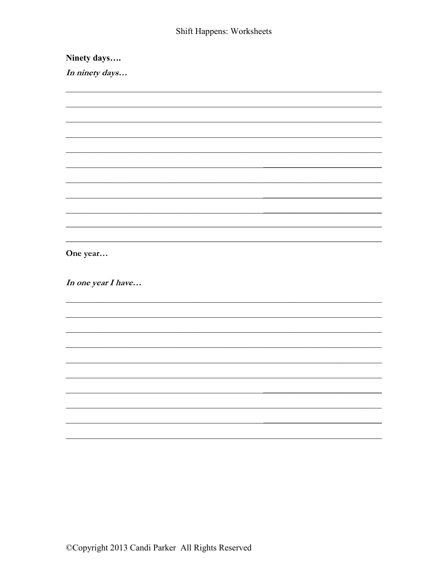| Ninety days        |  |
|--------------------|--|
| In ninety days     |  |
|                    |  |
|                    |  |
|                    |  |
|                    |  |
|                    |  |
|                    |  |
|                    |  |
|                    |  |
|                    |  |
|                    |  |
|                    |  |
|                    |  |
| One year           |  |
|                    |  |
| In one year I have |  |
|                    |  |
|                    |  |
|                    |  |
|                    |  |
|                    |  |
|                    |  |
|                    |  |
|                    |  |
|                    |  |
|                    |  |
|                    |  |